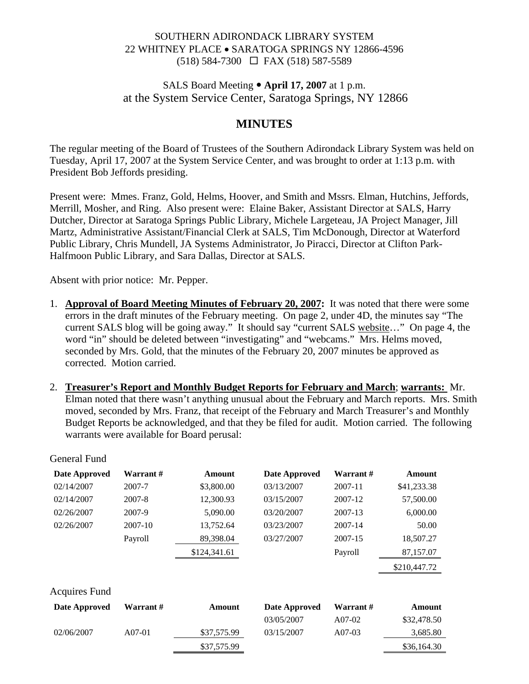# SOUTHERN ADIRONDACK LIBRARY SYSTEM 22 WHITNEY PLACE • SARATOGA SPRINGS NY 12866-4596 (518) 584-7300 FAX (518) 587-5589

# SALS Board Meeting • April 17, 2007 at 1 p.m. at the System Service Center, Saratoga Springs, NY 12866

# **MINUTES**

The regular meeting of the Board of Trustees of the Southern Adirondack Library System was held on Tuesday, April 17, 2007 at the System Service Center, and was brought to order at 1:13 p.m. with President Bob Jeffords presiding.

Present were: Mmes. Franz, Gold, Helms, Hoover, and Smith and Mssrs. Elman, Hutchins, Jeffords, Merrill, Mosher, and Ring. Also present were: Elaine Baker, Assistant Director at SALS, Harry Dutcher, Director at Saratoga Springs Public Library, Michele Largeteau, JA Project Manager, Jill Martz, Administrative Assistant/Financial Clerk at SALS, Tim McDonough, Director at Waterford Public Library, Chris Mundell, JA Systems Administrator, Jo Piracci, Director at Clifton Park-Halfmoon Public Library, and Sara Dallas, Director at SALS.

Absent with prior notice: Mr. Pepper.

- 1. **Approval of Board Meeting Minutes of February 20, 2007:** It was noted that there were some errors in the draft minutes of the February meeting. On page 2, under 4D, the minutes say "The current SALS blog will be going away." It should say "current SALS website…" On page 4, the word "in" should be deleted between "investigating" and "webcams." Mrs. Helms moved, seconded by Mrs. Gold, that the minutes of the February 20, 2007 minutes be approved as corrected. Motion carried.
- 2. **Treasurer's Report and Monthly Budget Reports for February and March**; **warrants:** Mr. Elman noted that there wasn't anything unusual about the February and March reports. Mrs. Smith moved, seconded by Mrs. Franz, that receipt of the February and March Treasurer's and Monthly Budget Reports be acknowledged, and that they be filed for audit. Motion carried. The following warrants were available for Board perusal:

| Date Approved        | Warrant #        | Amount       | Date Approved | Warrant # | Amount       |
|----------------------|------------------|--------------|---------------|-----------|--------------|
| 02/14/2007           | 2007-7           | \$3,800.00   | 03/13/2007    | 2007-11   | \$41,233.38  |
| 02/14/2007           | 2007-8           | 12,300.93    | 03/15/2007    | 2007-12   | 57,500.00    |
| 02/26/2007           | 2007-9           | 5,090.00     | 03/20/2007    | 2007-13   | 6,000.00     |
| 02/26/2007           | $2007 - 10$      | 13,752.64    | 03/23/2007    | 2007-14   | 50.00        |
|                      | Payroll          | 89,398.04    | 03/27/2007    | 2007-15   | 18,507.27    |
|                      |                  | \$124,341.61 |               | Payroll   | 87,157.07    |
|                      |                  |              |               |           | \$210,447.72 |
| <b>Acquires Fund</b> |                  |              |               |           |              |
| Date Approved        | <b>Warrant</b> # | Amount       | Date Approved | Warrant#  | Amount       |
|                      |                  |              | 03/05/2007    | A07-02    | \$32,478.50  |
| 02/06/2007           | $A07-01$         | \$37,575.99  | 03/15/2007    | $A07-03$  | 3,685.80     |
|                      |                  | \$37,575.99  |               |           | \$36,164.30  |

General Fund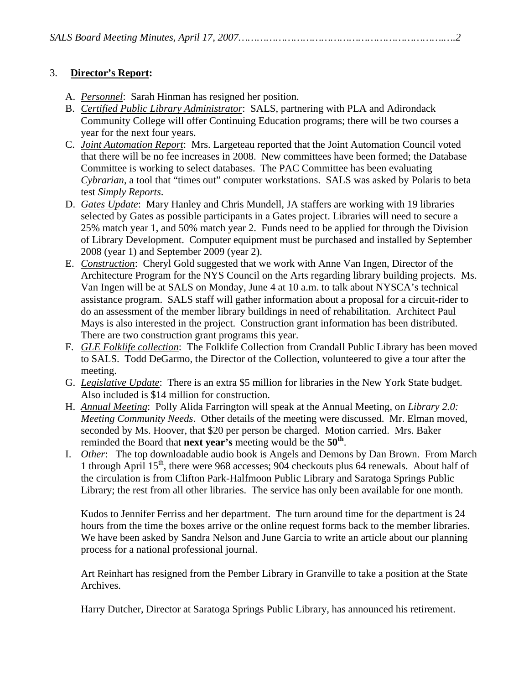## 3. **Director's Report:**

- A. *Personnel*: Sarah Hinman has resigned her position.
- B. *Certified Public Library Administrator*: SALS, partnering with PLA and Adirondack Community College will offer Continuing Education programs; there will be two courses a year for the next four years.
- C. *Joint Automation Report*: Mrs. Largeteau reported that the Joint Automation Council voted that there will be no fee increases in 2008. New committees have been formed; the Database Committee is working to select databases. The PAC Committee has been evaluating *Cybrarian*, a tool that "times out" computer workstations. SALS was asked by Polaris to beta test *Simply Reports*.
- D. *Gates Update*: Mary Hanley and Chris Mundell, JA staffers are working with 19 libraries selected by Gates as possible participants in a Gates project. Libraries will need to secure a 25% match year 1, and 50% match year 2. Funds need to be applied for through the Division of Library Development. Computer equipment must be purchased and installed by September 2008 (year 1) and September 2009 (year 2).
- E. *Construction*: Cheryl Gold suggested that we work with Anne Van Ingen, Director of the Architecture Program for the NYS Council on the Arts regarding library building projects. Ms. Van Ingen will be at SALS on Monday, June 4 at 10 a.m. to talk about NYSCA's technical assistance program. SALS staff will gather information about a proposal for a circuit-rider to do an assessment of the member library buildings in need of rehabilitation. Architect Paul Mays is also interested in the project. Construction grant information has been distributed. There are two construction grant programs this year.
- F. *GLE Folklife collection*: The Folklife Collection from Crandall Public Library has been moved to SALS. Todd DeGarmo, the Director of the Collection, volunteered to give a tour after the meeting.
- G. *Legislative Update*: There is an extra \$5 million for libraries in the New York State budget. Also included is \$14 million for construction.
- H. *Annual Meeting*: Polly Alida Farrington will speak at the Annual Meeting, on *Library 2.0: Meeting Community Needs*. Other details of the meeting were discussed. Mr. Elman moved, seconded by Ms. Hoover, that \$20 per person be charged. Motion carried. Mrs. Baker reminded the Board that **next year's** meeting would be the **50th**.
- I. *Other*: The top downloadable audio book is Angels and Demons by Dan Brown. From March 1 through April  $15<sup>th</sup>$ , there were 968 accesses; 904 checkouts plus 64 renewals. About half of the circulation is from Clifton Park-Halfmoon Public Library and Saratoga Springs Public Library; the rest from all other libraries. The service has only been available for one month.

Kudos to Jennifer Ferriss and her department. The turn around time for the department is 24 hours from the time the boxes arrive or the online request forms back to the member libraries. We have been asked by Sandra Nelson and June Garcia to write an article about our planning process for a national professional journal.

Art Reinhart has resigned from the Pember Library in Granville to take a position at the State Archives.

Harry Dutcher, Director at Saratoga Springs Public Library, has announced his retirement.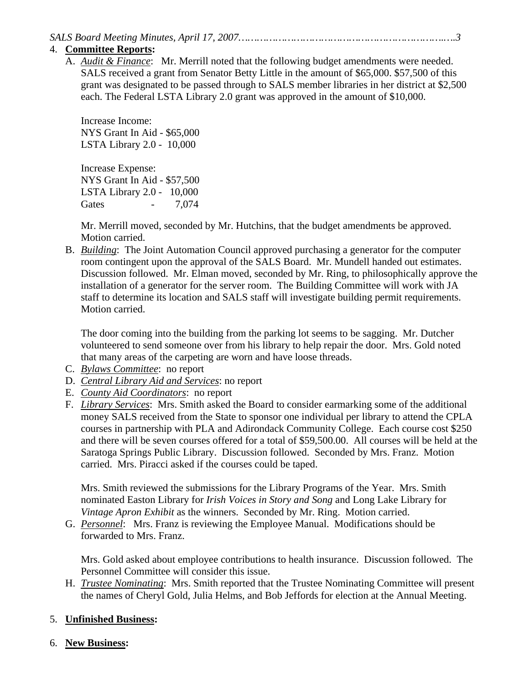*SALS Board Meeting Minutes, April 17, 2007………………………………………………………….….3* 

#### 4. **Committee Reports:**

A. *Audit & Finance*: Mr. Merrill noted that the following budget amendments were needed. SALS received a grant from Senator Betty Little in the amount of \$65,000. \$57,500 of this grant was designated to be passed through to SALS member libraries in her district at \$2,500 each. The Federal LSTA Library 2.0 grant was approved in the amount of \$10,000.

Increase Income: NYS Grant In Aid - \$65,000 LSTA Library 2.0 - 10,000

Increase Expense: NYS Grant In Aid - \$57,500 LSTA Library 2.0 - 10,000 Gates - 7,074

Mr. Merrill moved, seconded by Mr. Hutchins, that the budget amendments be approved. Motion carried.

B. *Building*: The Joint Automation Council approved purchasing a generator for the computer room contingent upon the approval of the SALS Board. Mr. Mundell handed out estimates. Discussion followed. Mr. Elman moved, seconded by Mr. Ring, to philosophically approve the installation of a generator for the server room. The Building Committee will work with JA staff to determine its location and SALS staff will investigate building permit requirements. Motion carried.

The door coming into the building from the parking lot seems to be sagging. Mr. Dutcher volunteered to send someone over from his library to help repair the door. Mrs. Gold noted that many areas of the carpeting are worn and have loose threads.

- C. *Bylaws Committee*: no report
- D. *Central Library Aid and Services*: no report
- E. *County Aid Coordinators*: no report
- F. *Library Services*: Mrs. Smith asked the Board to consider earmarking some of the additional money SALS received from the State to sponsor one individual per library to attend the CPLA courses in partnership with PLA and Adirondack Community College. Each course cost \$250 and there will be seven courses offered for a total of \$59,500.00. All courses will be held at the Saratoga Springs Public Library. Discussion followed. Seconded by Mrs. Franz. Motion carried. Mrs. Piracci asked if the courses could be taped.

Mrs. Smith reviewed the submissions for the Library Programs of the Year. Mrs. Smith nominated Easton Library for *Irish Voices in Story and Song* and Long Lake Library for *Vintage Apron Exhibit* as the winners. Seconded by Mr. Ring. Motion carried.

G. *Personnel*: Mrs. Franz is reviewing the Employee Manual. Modifications should be forwarded to Mrs. Franz.

Mrs. Gold asked about employee contributions to health insurance. Discussion followed. The Personnel Committee will consider this issue.

H. *Trustee Nominating*: Mrs. Smith reported that the Trustee Nominating Committee will present the names of Cheryl Gold, Julia Helms, and Bob Jeffords for election at the Annual Meeting.

# 5. **Unfinished Business:**

6. **New Business:**